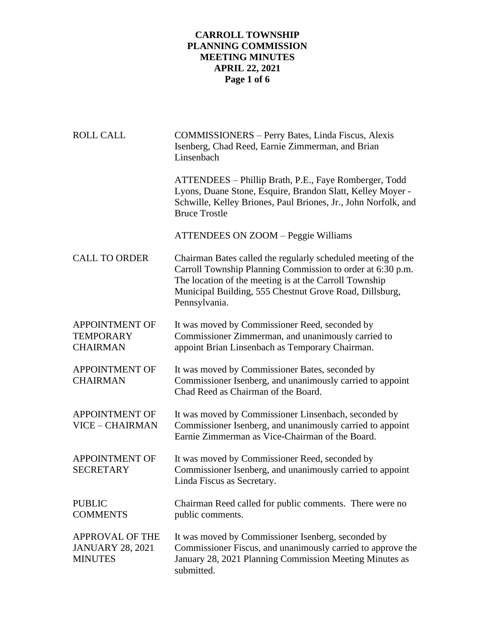# **CARROLL TOWNSHIP PLANNING COMMISSION MEETING MINUTES APRIL 22, 2021 Page 1 of 6**

| <b>ROLL CALL</b>                                                    | COMMISSIONERS - Perry Bates, Linda Fiscus, Alexis<br>Isenberg, Chad Reed, Earnie Zimmerman, and Brian<br>Linsenbach                                                                                                                                              |
|---------------------------------------------------------------------|------------------------------------------------------------------------------------------------------------------------------------------------------------------------------------------------------------------------------------------------------------------|
|                                                                     | ATTENDEES – Phillip Brath, P.E., Faye Romberger, Todd<br>Lyons, Duane Stone, Esquire, Brandon Slatt, Kelley Moyer -<br>Schwille, Kelley Briones, Paul Briones, Jr., John Norfolk, and<br><b>Bruce Trostle</b>                                                    |
|                                                                     | <b>ATTENDEES ON ZOOM - Peggie Williams</b>                                                                                                                                                                                                                       |
| <b>CALL TO ORDER</b>                                                | Chairman Bates called the regularly scheduled meeting of the<br>Carroll Township Planning Commission to order at 6:30 p.m.<br>The location of the meeting is at the Carroll Township<br>Municipal Building, 555 Chestnut Grove Road, Dillsburg,<br>Pennsylvania. |
| <b>APPOINTMENT OF</b><br><b>TEMPORARY</b><br><b>CHAIRMAN</b>        | It was moved by Commissioner Reed, seconded by<br>Commissioner Zimmerman, and unanimously carried to<br>appoint Brian Linsenbach as Temporary Chairman.                                                                                                          |
| <b>APPOINTMENT OF</b><br><b>CHAIRMAN</b>                            | It was moved by Commissioner Bates, seconded by<br>Commissioner Isenberg, and unanimously carried to appoint<br>Chad Reed as Chairman of the Board.                                                                                                              |
| <b>APPOINTMENT OF</b><br>VICE - CHAIRMAN                            | It was moved by Commissioner Linsenbach, seconded by<br>Commissioner Isenberg, and unanimously carried to appoint<br>Earnie Zimmerman as Vice-Chairman of the Board.                                                                                             |
| <b>APPOINTMENT OF</b><br><b>SECRETARY</b>                           | It was moved by Commissioner Reed, seconded by<br>Commissioner Isenberg, and unanimously carried to appoint<br>Linda Fiscus as Secretary.                                                                                                                        |
| <b>PUBLIC</b><br><b>COMMENTS</b>                                    | Chairman Reed called for public comments. There were no<br>public comments.                                                                                                                                                                                      |
| <b>APPROVAL OF THE</b><br><b>JANUARY 28, 2021</b><br><b>MINUTES</b> | It was moved by Commissioner Isenberg, seconded by<br>Commissioner Fiscus, and unanimously carried to approve the<br>January 28, 2021 Planning Commission Meeting Minutes as<br>submitted.                                                                       |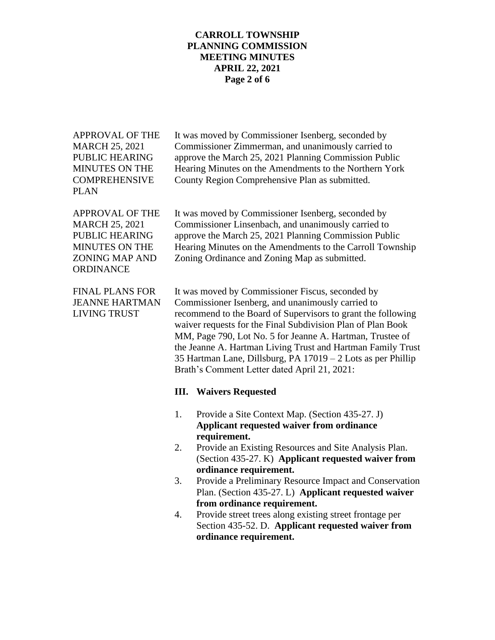### **CARROLL TOWNSHIP PLANNING COMMISSION MEETING MINUTES APRIL 22, 2021 Page 2 of 6**

APPROVAL OF THE It was moved by Commissioner Isenberg, seconded by MARCH 25, 2021 Commissioner Zimmerman, and unanimously carried to PUBLIC HEARING approve the March 25, 2021 Planning Commission Public MINUTES ON THE Hearing Minutes on the Amendments to the Northern York COMPREHENSIVE County Region Comprehensive Plan as submitted. PLAN APPROVAL OF THE It was moved by Commissioner Isenberg, seconded by MARCH 25, 2021 Commissioner Linsenbach, and unanimously carried to PUBLIC HEARING approve the March 25, 2021 Planning Commission Public MINUTES ON THE Hearing Minutes on the Amendments to the Carroll Township ZONING MAP AND Zoning Ordinance and Zoning Map as submitted. **ORDINANCE** FINAL PLANS FOR It was moved by Commissioner Fiscus, seconded by JEANNE HARTMAN Commissioner Isenberg, and unanimously carried to LIVING TRUST recommend to the Board of Supervisors to grant the following waiver requests for the Final Subdivision Plan of Plan Book MM, Page 790, Lot No. 5 for Jeanne A. Hartman, Trustee of the Jeanne A. Hartman Living Trust and Hartman Family Trust 35 Hartman Lane, Dillsburg, PA 17019 – 2 Lots as per Phillip Brath's Comment Letter dated April 21, 2021: **III. Waivers Requested** 1. Provide a Site Context Map. (Section 435-27. J) **Applicant requested waiver from ordinance requirement.** 2. Provide an Existing Resources and Site Analysis Plan. (Section 435-27. K) **Applicant requested waiver from ordinance requirement.** 3. Provide a Preliminary Resource Impact and Conservation Plan. (Section 435-27. L) **Applicant requested waiver from ordinance requirement.** 4. Provide street trees along existing street frontage per Section 435-52. D. **Applicant requested waiver from ordinance requirement.**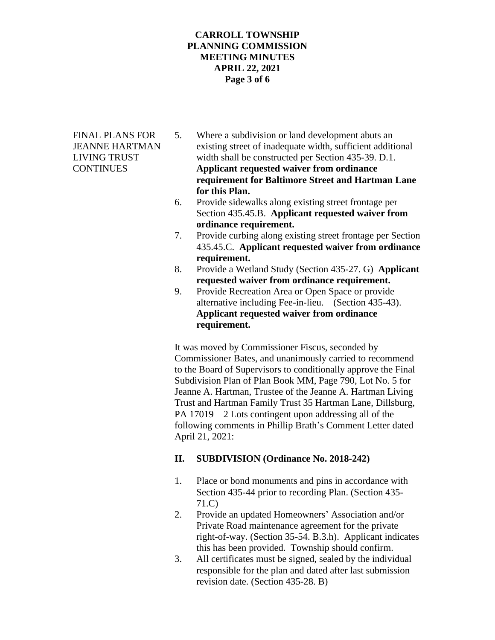# **CARROLL TOWNSHIP PLANNING COMMISSION MEETING MINUTES APRIL 22, 2021 Page 3 of 6**

- FINAL PLANS FOR 5. Where a subdivision or land development abuts an JEANNE HARTMAN existing street of inadequate width, sufficient additional LIVING TRUST width shall be constructed per Section 435-39. D.1. CONTINUES **Applicant requested waiver from ordinance requirement for Baltimore Street and Hartman Lane for this Plan.**
	- 6. Provide sidewalks along existing street frontage per Section 435.45.B. **Applicant requested waiver from ordinance requirement.**
	- 7. Provide curbing along existing street frontage per Section 435.45.C. **Applicant requested waiver from ordinance requirement.**
	- 8. Provide a Wetland Study (Section 435-27. G) **Applicant requested waiver from ordinance requirement.**
	- 9. Provide Recreation Area or Open Space or provide alternative including Fee-in-lieu. (Section 435-43). **Applicant requested waiver from ordinance requirement.**

It was moved by Commissioner Fiscus, seconded by Commissioner Bates, and unanimously carried to recommend to the Board of Supervisors to conditionally approve the Final Subdivision Plan of Plan Book MM, Page 790, Lot No. 5 for Jeanne A. Hartman, Trustee of the Jeanne A. Hartman Living Trust and Hartman Family Trust 35 Hartman Lane, Dillsburg, PA 17019 – 2 Lots contingent upon addressing all of the following comments in Phillip Brath's Comment Letter dated April 21, 2021:

# **II. SUBDIVISION (Ordinance No. 2018-242)**

- 1. Place or bond monuments and pins in accordance with Section 435-44 prior to recording Plan. (Section 435- 71.C)
- 2. Provide an updated Homeowners' Association and/or Private Road maintenance agreement for the private right-of-way. (Section 35-54. B.3.h). Applicant indicates this has been provided. Township should confirm.
- 3. All certificates must be signed, sealed by the individual responsible for the plan and dated after last submission revision date. (Section 435-28. B)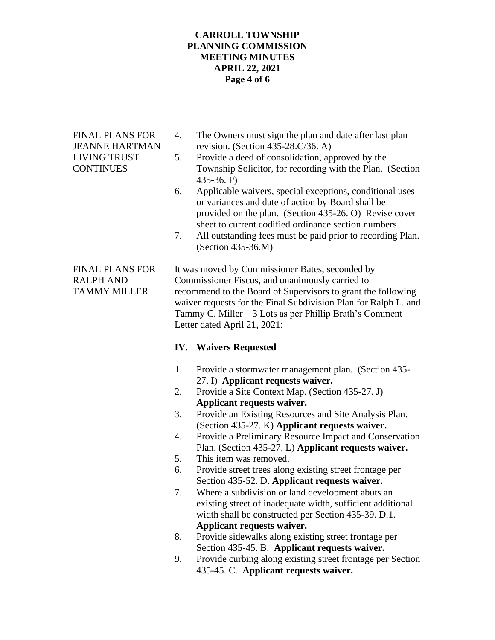# **CARROLL TOWNSHIP PLANNING COMMISSION MEETING MINUTES APRIL 22, 2021 Page 4 of 6**

- FINAL PLANS FOR 4. The Owners must sign the plan and date after last plan JEANNE HARTMAN revision. (Section 435-28.C/36. A)
- LIVING TRUST 5. Provide a deed of consolidation, approved by the CONTINUES Township Solicitor, for recording with the Plan. (Section 435-36. P)
	- 6. Applicable waivers, special exceptions, conditional uses or variances and date of action by Board shall be provided on the plan. (Section 435-26. O) Revise cover sheet to current codified ordinance section numbers.
	- 7. All outstanding fees must be paid prior to recording Plan. (Section 435-36.M)

FINAL PLANS FOR It was moved by Commissioner Bates, seconded by RALPH AND Commissioner Fiscus, and unanimously carried to TAMMY MILLER recommend to the Board of Supervisors to grant the following waiver requests for the Final Subdivision Plan for Ralph L. and Tammy C. Miller – 3 Lots as per Phillip Brath's Comment Letter dated April 21, 2021:

# **IV. Waivers Requested**

- 1. Provide a stormwater management plan. (Section 435- 27. I) **Applicant requests waiver.**
- 2. Provide a Site Context Map. (Section 435-27. J) **Applicant requests waiver.**
- 3. Provide an Existing Resources and Site Analysis Plan. (Section 435-27. K) **Applicant requests waiver.**
- 4. Provide a Preliminary Resource Impact and Conservation Plan. (Section 435-27. L) **Applicant requests waiver.**
- 5. This item was removed.
- 6. Provide street trees along existing street frontage per Section 435-52. D. **Applicant requests waiver.**
- 7. Where a subdivision or land development abuts an existing street of inadequate width, sufficient additional width shall be constructed per Section 435-39. D.1. **Applicant requests waiver.**
- 8. Provide sidewalks along existing street frontage per Section 435-45. B. **Applicant requests waiver.**
- 9. Provide curbing along existing street frontage per Section 435-45. C. **Applicant requests waiver.**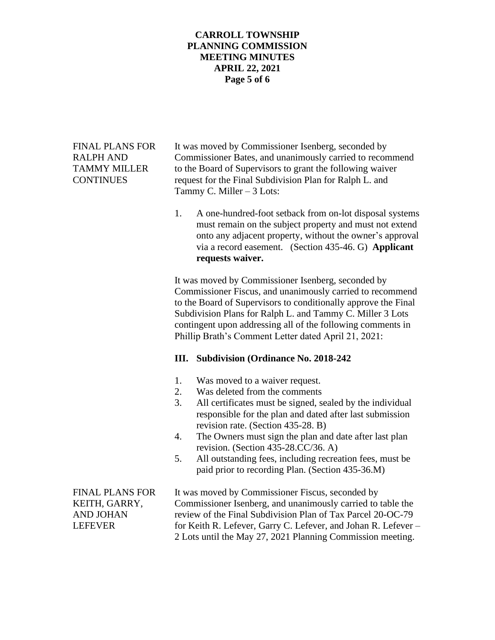### **CARROLL TOWNSHIP PLANNING COMMISSION MEETING MINUTES APRIL 22, 2021 Page 5 of 6**

FINAL PLANS FOR It was moved by Commissioner Isenberg, seconded by RALPH AND Commissioner Bates, and unanimously carried to recommend TAMMY MILLER to the Board of Supervisors to grant the following waiver CONTINUES request for the Final Subdivision Plan for Ralph L. and Tammy C. Miller – 3 Lots:

> 1. A one-hundred-foot setback from on-lot disposal systems must remain on the subject property and must not extend onto any adjacent property, without the owner's approval via a record easement. (Section 435-46. G) **Applicant requests waiver.**

It was moved by Commissioner Isenberg, seconded by Commissioner Fiscus, and unanimously carried to recommend to the Board of Supervisors to conditionally approve the Final Subdivision Plans for Ralph L. and Tammy C. Miller 3 Lots contingent upon addressing all of the following comments in Phillip Brath's Comment Letter dated April 21, 2021:

# **III. Subdivision (Ordinance No. 2018-242**

- 1. Was moved to a waiver request.
- 2. Was deleted from the comments
- 3. All certificates must be signed, sealed by the individual responsible for the plan and dated after last submission revision rate. (Section 435-28. B)
- 4. The Owners must sign the plan and date after last plan revision. (Section 435-28.CC/36. A)
- 5. All outstanding fees, including recreation fees, must be paid prior to recording Plan. (Section 435-36.M)

FINAL PLANS FOR It was moved by Commissioner Fiscus, seconded by KEITH, GARRY, Commissioner Isenberg, and unanimously carried to table the AND JOHAN review of the Final Subdivision Plan of Tax Parcel 20-OC-79 LEFEVER for Keith R. Lefever, Garry C. Lefever, and Johan R. Lefever – 2 Lots until the May 27, 2021 Planning Commission meeting.